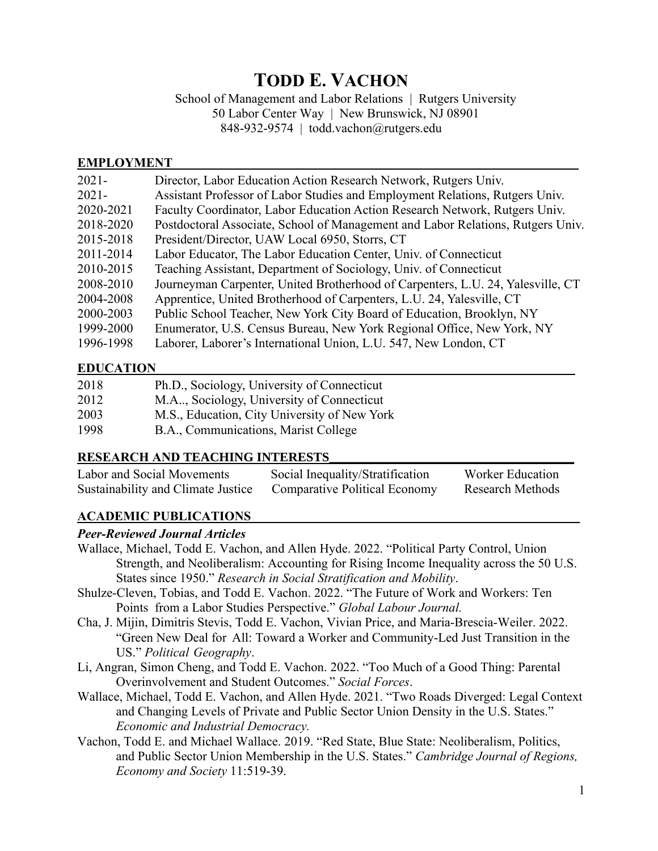# **TODD E. VACHON**

School of Management and Labor Relations | Rutgers University

50 Labor Center Way | New Brunswick, NJ 08901

848-932-9574 | todd.vachon@rutgers.edu

## **EMPLOYMENT**

| $2021 -$  | Director, Labor Education Action Research Network, Rutgers Univ.                |
|-----------|---------------------------------------------------------------------------------|
| $2021 -$  | Assistant Professor of Labor Studies and Employment Relations, Rutgers Univ.    |
| 2020-2021 | Faculty Coordinator, Labor Education Action Research Network, Rutgers Univ.     |
| 2018-2020 | Postdoctoral Associate, School of Management and Labor Relations, Rutgers Univ. |
| 2015-2018 | President/Director, UAW Local 6950, Storrs, CT                                  |
| 2011-2014 | Labor Educator, The Labor Education Center, Univ. of Connecticut                |
| 2010-2015 | Teaching Assistant, Department of Sociology, Univ. of Connecticut               |
| 2008-2010 | Journeyman Carpenter, United Brotherhood of Carpenters, L.U. 24, Yalesville, CT |
| 2004-2008 | Apprentice, United Brotherhood of Carpenters, L.U. 24, Yalesville, CT           |
| 2000-2003 | Public School Teacher, New York City Board of Education, Brooklyn, NY           |
| 1999-2000 | Enumerator, U.S. Census Bureau, New York Regional Office, New York, NY          |
| 1996-1998 | Laborer, Laborer's International Union, L.U. 547, New London, CT                |

# **EDUCATION\_\_\_\_\_\_\_\_\_\_\_\_\_\_\_\_\_\_\_\_\_\_\_\_\_\_\_\_\_\_\_\_\_\_\_\_\_\_\_\_\_\_\_\_\_\_\_\_\_\_\_\_\_\_\_\_\_\_\_\_\_\_\_\_\_**

| 2018 | Ph.D., Sociology, University of Connecticut  |
|------|----------------------------------------------|
| 2012 | M.A., Sociology, University of Connecticut   |
| 2003 | M.S., Education, City University of New York |
| 1998 | B.A., Communications, Marist College         |

## **RESEARCH AND TEACHING INTERESTS\_\_\_\_\_\_\_\_\_\_\_\_\_\_\_\_\_\_\_\_\_\_\_\_\_\_\_\_\_\_\_\_\_\_\_\_\_\_**

| Labor and Social Movements         | Social Inequality/Stratification     | Worker Education |
|------------------------------------|--------------------------------------|------------------|
| Sustainability and Climate Justice | <b>Comparative Political Economy</b> | Research Methods |

# **ACADEMIC PUBLICATIONS\_\_\_\_\_\_\_\_\_\_\_\_\_\_\_\_\_\_\_\_\_\_\_\_\_\_\_\_\_\_\_\_\_\_\_\_\_\_\_\_\_\_\_\_\_\_\_\_\_\_\_**

## *Peer-Reviewed Journal Articles*

- Wallace, Michael, Todd E. Vachon, and Allen Hyde. 2022. "Political Party Control, Union Strength, and Neoliberalism: Accounting for Rising Income Inequality across the 50 U.S. States since 1950." *Research in Social Stratification and Mobility*.
- Shulze-Cleven, Tobias, and Todd E. Vachon. 2022. "The Future of Work and Workers: Ten Points from a Labor Studies Perspective." *Global Labour Journal.*
- Cha, J. Mijin, Dimitris Stevis, Todd E. Vachon, Vivian Price, and Maria-Brescia-Weiler. 2022. "Green New Deal for All: Toward a Worker and Community-Led Just Transition in the US." *Political Geography*.
- Li, Angran, Simon Cheng, and Todd E. Vachon. 2022. "Too Much of a Good Thing: Parental Overinvolvement and Student Outcomes." *Social Forces*.
- Wallace, Michael, Todd E. Vachon, and Allen Hyde. 2021. "Two Roads Diverged: Legal Context and Changing Levels of Private and Public Sector Union Density in the U.S. States." *Economic and Industrial Democracy.*
- Vachon, Todd E. and Michael Wallace. 2019. "Red State, Blue State: Neoliberalism, Politics, and Public Sector Union Membership in the U.S. States." *Cambridge Journal of Regions, Economy and Society* 11:519-39.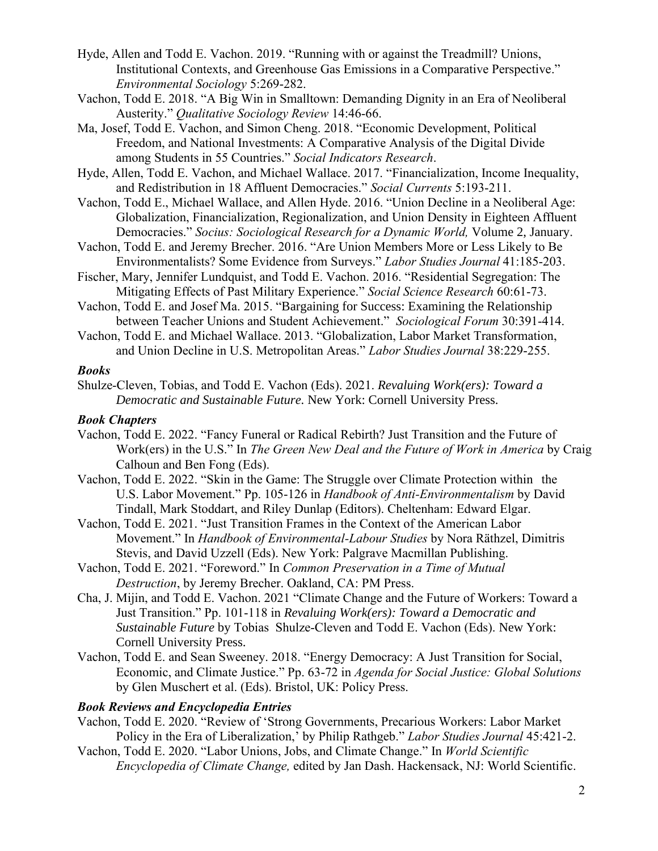- Hyde, Allen and Todd E. Vachon. 2019. "Running with or against the Treadmill? Unions, Institutional Contexts, and Greenhouse Gas Emissions in a Comparative Perspective." *Environmental Sociology* 5:269-282.
- Vachon, Todd E. 2018. "A Big Win in Smalltown: Demanding Dignity in an Era of Neoliberal Austerity." *Qualitative Sociology Review* 14:46-66.
- Ma, Josef, Todd E. Vachon, and Simon Cheng. 2018. "Economic Development, Political Freedom, and National Investments: A Comparative Analysis of the Digital Divide among Students in 55 Countries." *Social Indicators Research*.

Hyde, Allen, Todd E. Vachon, and Michael Wallace. 2017. "Financialization, Income Inequality, and Redistribution in 18 Affluent Democracies." *Social Currents* 5:193-211.

- Vachon, Todd E., Michael Wallace, and Allen Hyde. 2016. "Union Decline in a Neoliberal Age: Globalization, Financialization, Regionalization, and Union Density in Eighteen Affluent Democracies." *Socius: Sociological Research for a Dynamic World,* Volume 2, January.
- Vachon, Todd E. and Jeremy Brecher. 2016. "Are Union Members More or Less Likely to Be Environmentalists? Some Evidence from Surveys." *Labor Studies Journal* 41:185-203.
- Fischer, Mary, Jennifer Lundquist, and Todd E. Vachon. 2016. "Residential Segregation: The Mitigating Effects of Past Military Experience." *Social Science Research* 60:61-73.
- Vachon, Todd E. and Josef Ma. 2015. "Bargaining for Success: Examining the Relationship between Teacher Unions and Student Achievement." *Sociological Forum* 30:391-414.
- Vachon, Todd E. and Michael Wallace. 2013. "Globalization, Labor Market Transformation, and Union Decline in U.S. Metropolitan Areas." *Labor Studies Journal* 38:229-255.

#### *Books*

Shulze-Cleven, Tobias, and Todd E. Vachon (Eds). 2021. *Revaluing Work(ers): Toward a Democratic and Sustainable Future.* New York: Cornell University Press.

#### *Book Chapters*

- Vachon, Todd E. 2022. "Fancy Funeral or Radical Rebirth? Just Transition and the Future of Work(ers) in the U.S." In *The Green New Deal and the Future of Work in America* by Craig Calhoun and Ben Fong (Eds).
- Vachon, Todd E. 2022. "Skin in the Game: The Struggle over Climate Protection within the U.S. Labor Movement." Pp. 105-126 in *Handbook of Anti-Environmentalism* by David Tindall, Mark Stoddart, and Riley Dunlap (Editors). Cheltenham: Edward Elgar.
- Vachon, Todd E. 2021. "Just Transition Frames in the Context of the American Labor Movement." In *Handbook of Environmental-Labour Studies* by Nora Räthzel, Dimitris Stevis, and David Uzzell (Eds). New York: Palgrave Macmillan Publishing.
- Vachon, Todd E. 2021. "Foreword." In *Common Preservation in a Time of Mutual Destruction*, by Jeremy Brecher. Oakland, CA: PM Press.
- Cha, J. Mijin, and Todd E. Vachon. 2021 "Climate Change and the Future of Workers: Toward a Just Transition." Pp. 101-118 in *Revaluing Work(ers): Toward a Democratic and Sustainable Future* by Tobias Shulze-Cleven and Todd E. Vachon (Eds). New York: Cornell University Press.
- Vachon, Todd E. and Sean Sweeney. 2018. "Energy Democracy: A Just Transition for Social, Economic, and Climate Justice." Pp. 63-72 in *Agenda for Social Justice: Global Solutions* by Glen Muschert et al. (Eds). Bristol, UK: Policy Press.

#### *Book Reviews and Encyclopedia Entries*

- Vachon, Todd E. 2020. "Review of 'Strong Governments, Precarious Workers: Labor Market Policy in the Era of Liberalization,' by Philip Rathgeb." *Labor Studies Journal* 45:421-2.
- Vachon, Todd E. 2020. "Labor Unions, Jobs, and Climate Change." In *World Scientific Encyclopedia of Climate Change,* edited by Jan Dash. Hackensack, NJ: World Scientific.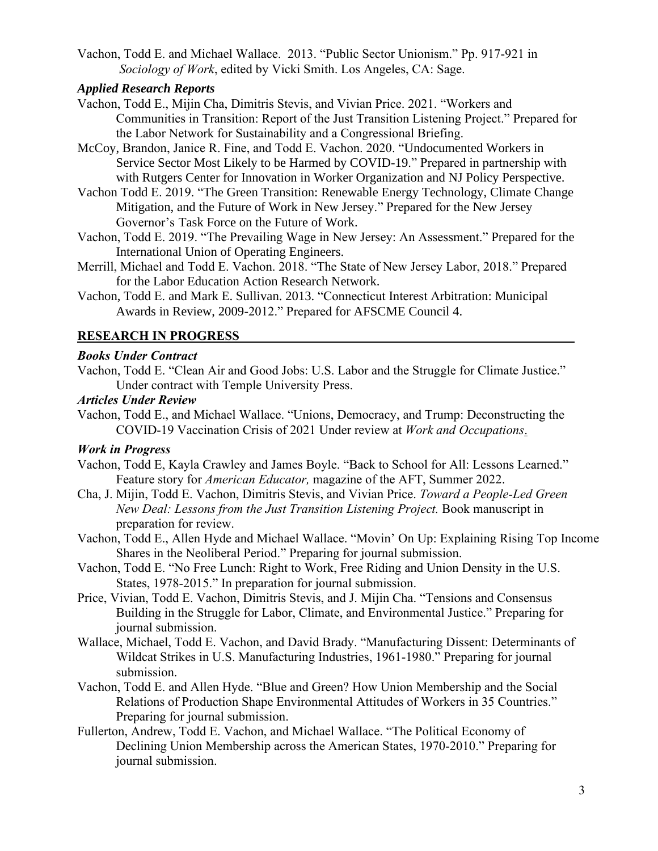Vachon, Todd E. and Michael Wallace. 2013. "Public Sector Unionism." Pp. 917-921 in  *Sociology of Work*, edited by Vicki Smith. Los Angeles, CA: Sage.

#### *Applied Research Reports*

- Vachon, Todd E., Mijin Cha, Dimitris Stevis, and Vivian Price. 2021. "Workers and Communities in Transition: Report of the Just Transition Listening Project." Prepared for the Labor Network for Sustainability and a Congressional Briefing.
- McCoy, Brandon, Janice R. Fine, and Todd E. Vachon. 2020. "Undocumented Workers in Service Sector Most Likely to be Harmed by COVID-19." Prepared in partnership with with Rutgers Center for Innovation in Worker Organization and NJ Policy Perspective.
- Vachon Todd E. 2019. "The Green Transition: Renewable Energy Technology, Climate Change Mitigation, and the Future of Work in New Jersey." Prepared for the New Jersey Governor's Task Force on the Future of Work.
- Vachon, Todd E. 2019. "The Prevailing Wage in New Jersey: An Assessment." Prepared for the International Union of Operating Engineers.
- Merrill, Michael and Todd E. Vachon. 2018. "The State of New Jersey Labor, 2018." Prepared for the Labor Education Action Research Network.
- Vachon, Todd E. and Mark E. Sullivan. 2013. "Connecticut Interest Arbitration: Municipal Awards in Review, 2009-2012." Prepared for AFSCME Council 4.

#### **RESEARCH IN PROGRESS**

#### *Books Under Contract*

Vachon, Todd E. "Clean Air and Good Jobs: U.S. Labor and the Struggle for Climate Justice." Under contract with Temple University Press.

#### *Articles Under Review*

Vachon, Todd E., and Michael Wallace. "Unions, Democracy, and Trump: Deconstructing the COVID-19 Vaccination Crisis of 2021 Under review at *Work and Occupations*.

#### *Work in Progress*

- Vachon, Todd E, Kayla Crawley and James Boyle. "Back to School for All: Lessons Learned." Feature story for *American Educator,* magazine of the AFT, Summer 2022.
- Cha, J. Mijin, Todd E. Vachon, Dimitris Stevis, and Vivian Price. *Toward a People-Led Green New Deal: Lessons from the Just Transition Listening Project.* Book manuscript in preparation for review.
- Vachon, Todd E., Allen Hyde and Michael Wallace. "Movin' On Up: Explaining Rising Top Income Shares in the Neoliberal Period." Preparing for journal submission.
- Vachon, Todd E. "No Free Lunch: Right to Work, Free Riding and Union Density in the U.S. States, 1978-2015." In preparation for journal submission.
- Price, Vivian, Todd E. Vachon, Dimitris Stevis, and J. Mijin Cha. "Tensions and Consensus Building in the Struggle for Labor, Climate, and Environmental Justice." Preparing for journal submission.
- Wallace, Michael, Todd E. Vachon, and David Brady. "Manufacturing Dissent: Determinants of Wildcat Strikes in U.S. Manufacturing Industries, 1961-1980." Preparing for journal submission.
- Vachon, Todd E. and Allen Hyde. "Blue and Green? How Union Membership and the Social Relations of Production Shape Environmental Attitudes of Workers in 35 Countries." Preparing for journal submission.
- Fullerton, Andrew, Todd E. Vachon, and Michael Wallace. "The Political Economy of Declining Union Membership across the American States, 1970-2010." Preparing for journal submission.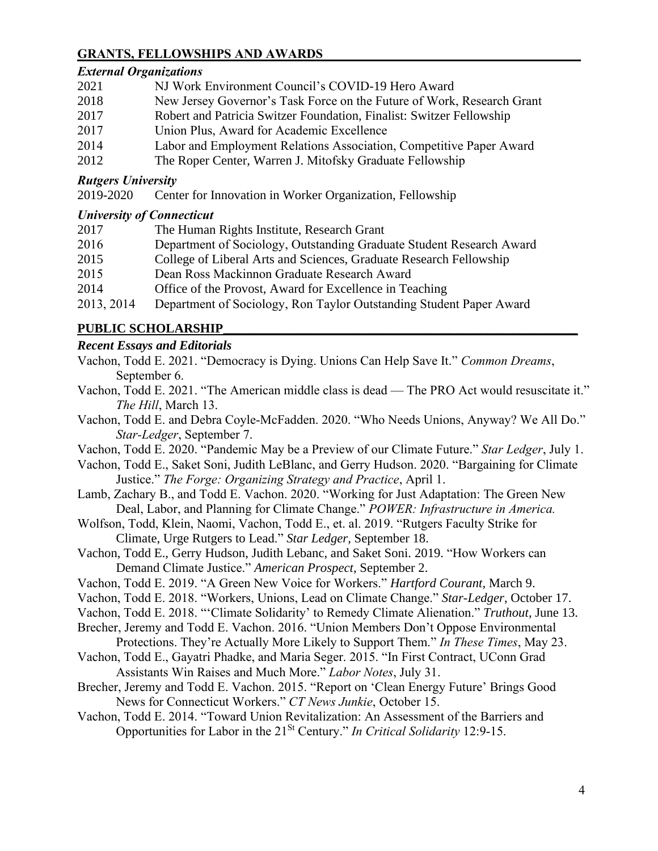## **GRANTS, FELLOWSHIPS AND AWARDS\_\_\_\_\_\_\_\_\_\_\_\_\_\_\_\_\_\_\_\_\_\_\_\_\_\_\_\_\_\_\_\_\_\_\_\_\_\_\_\_**

#### *External Organizations*

| 2021 | NJ Work Environment Council's COVID-19 Hero Award                      |
|------|------------------------------------------------------------------------|
| 2018 | New Jersey Governor's Task Force on the Future of Work, Research Grant |
| 2017 | Robert and Patricia Switzer Foundation, Finalist: Switzer Fellowship   |
| 2017 | Union Plus, Award for Academic Excellence                              |
| 2014 | Labor and Employment Relations Association, Competitive Paper Award    |
| 2012 | The Roper Center, Warren J. Mitofsky Graduate Fellowship               |

### *Rutgers University*

2019-2020 Center for Innovation in Worker Organization, Fellowship

#### *University of Connecticut*

| 2017       | The Human Rights Institute, Research Grant                           |
|------------|----------------------------------------------------------------------|
| 2016       | Department of Sociology, Outstanding Graduate Student Research Award |
| 2015       | College of Liberal Arts and Sciences, Graduate Research Fellowship   |
| 2015       | Dean Ross Mackinnon Graduate Research Award                          |
| 2014       | Office of the Provost, Award for Excellence in Teaching              |
| 2013, 2014 | Department of Sociology, Ron Taylor Outstanding Student Paper Award  |

# **PUBLIC SCHOLARSHIP\_\_\_\_\_\_\_\_\_\_\_\_\_\_\_\_\_\_\_\_\_\_\_\_\_\_\_\_\_\_\_\_\_\_\_\_\_\_\_\_\_\_\_\_\_\_\_\_\_\_\_\_\_\_\_**

# *Recent Essays and Editorials*

- Vachon, Todd E. 2021. "Democracy is Dying. Unions Can Help Save It." *Common Dreams*, September 6.
- Vachon, Todd E. 2021. "The American middle class is dead The PRO Act would resuscitate it." *The Hill*, March 13.
- Vachon, Todd E. and Debra Coyle-McFadden. 2020. "Who Needs Unions, Anyway? We All Do." *Star-Ledger*, September 7.
- Vachon, Todd E. 2020. "Pandemic May be a Preview of our Climate Future." *Star Ledger*, July 1.
- Vachon, Todd E., Saket Soni, Judith LeBlanc, and Gerry Hudson. 2020. "Bargaining for Climate Justice." *The Forge: Organizing Strategy and Practice*, April 1.
- Lamb, Zachary B., and Todd E. Vachon. 2020. "Working for Just Adaptation: The Green New Deal, Labor, and Planning for Climate Change." *POWER: Infrastructure in America.*
- Wolfson, Todd, Klein, Naomi, Vachon, Todd E., et. al. 2019. "Rutgers Faculty Strike for Climate, Urge Rutgers to Lead." *Star Ledger*, September 18.
- Vachon, Todd E., Gerry Hudson, Judith Lebanc, and Saket Soni. 2019. "How Workers can Demand Climate Justice." *American Prospect*, September 2.
- Vachon, Todd E. 2019. "A Green New Voice for Workers." *Hartford Courant*, March 9.
- Vachon, Todd E. 2018. "Workers, Unions, Lead on Climate Change." *Star-Ledger*, October 17.
- Vachon, Todd E. 2018. "'Climate Solidarity' to Remedy Climate Alienation." *Truthout*, June 13.
- Brecher, Jeremy and Todd E. Vachon. 2016. "Union Members Don't Oppose Environmental Protections. They're Actually More Likely to Support Them." *In These Times*, May 23.
- Vachon, Todd E., Gayatri Phadke, and Maria Seger. 2015. "In First Contract, UConn Grad Assistants Win Raises and Much More." *Labor Notes*, July 31.
- Brecher, Jeremy and Todd E. Vachon. 2015. "Report on 'Clean Energy Future' Brings Good News for Connecticut Workers." *CT News Junkie*, October 15.
- Vachon, Todd E. 2014. "Toward Union Revitalization: An Assessment of the Barriers and Opportunities for Labor in the 21St Century." *In Critical Solidarity* 12:9-15.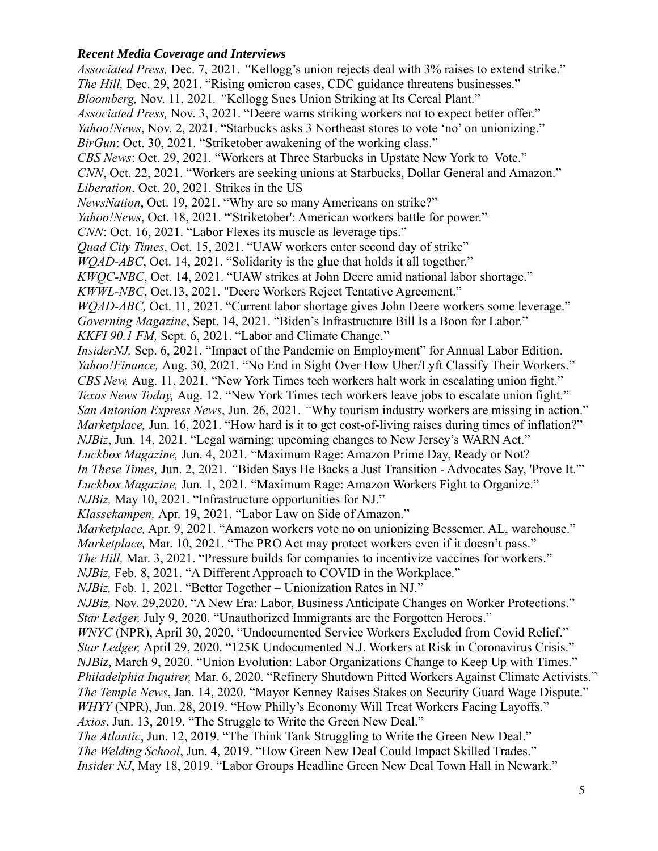## *Recent Media Coverage and Interviews*

*Associated Press,* Dec. 7, 2021. *"*Kellogg's union rejects deal with 3% raises to extend strike." *The Hill, Dec. 29, 2021.* "Rising omicron cases, CDC guidance threatens businesses." *Bloomberg,* Nov. 11, 2021*. "*Kellogg Sues Union Striking at Its Cereal Plant." *Associated Press,* Nov. 3, 2021. "Deere warns striking workers not to expect better offer." *Yahoo!News*, Nov. 2, 2021. "Starbucks asks 3 Northeast stores to vote 'no' on unionizing." *BirGun*: Oct. 30, 2021. "Striketober awakening of the working class." *CBS News*: Oct. 29, 2021. "Workers at Three Starbucks in Upstate New York to Vote." *CNN*, Oct. 22, 2021. "Workers are seeking unions at Starbucks, Dollar General and Amazon." *Liberation*, Oct. 20, 2021. Strikes in the US *NewsNation*, Oct. 19, 2021. "Why are so many Americans on strike?" *Yahoo!News*, Oct. 18, 2021. "'Striketober': American workers battle for power." *CNN*: Oct. 16, 2021. "Labor Flexes its muscle as leverage tips." *Quad City Times*, Oct. 15, 2021. "UAW workers enter second day of strike" *WOAD-ABC*, Oct. 14, 2021. "Solidarity is the glue that holds it all together." *KWQC-NBC*, Oct. 14, 2021. "UAW strikes at John Deere amid national labor shortage." *KWWL-NBC*, Oct.13, 2021. "Deere Workers Reject Tentative Agreement." *WQAD-ABC*, Oct. 11, 2021. "Current labor shortage gives John Deere workers some leverage." *Governing Magazine*, Sept. 14, 2021. "Biden's Infrastructure Bill Is a Boon for Labor." *KKFI 90.1 FM,* Sept. 6, 2021. "Labor and Climate Change." *InsiderNJ*, Sep. 6, 2021. "Impact of the Pandemic on Employment" for Annual Labor Edition. *Yahoo!Finance,* Aug. 30, 2021. "No End in Sight Over How Uber/Lyft Classify Their Workers." *CBS New,* Aug. 11, 2021. "New York Times tech workers halt work in escalating union fight." *Texas News Today,* Aug. 12. "New York Times tech workers leave jobs to escalate union fight." *San Antonion Express News*, Jun. 26, 2021. *"*Why tourism industry workers are missing in action." *Marketplace*, Jun. 16, 2021. "How hard is it to get cost-of-living raises during times of inflation?" *NJBiz*, Jun. 14, 2021. "Legal warning: upcoming changes to New Jersey's WARN Act." *Luckbox Magazine,* Jun. 4, 2021*.* "Maximum Rage: Amazon Prime Day, Ready or Not? *In These Times,* Jun. 2, 2021*. "*Biden Says He Backs a Just Transition - Advocates Say, 'Prove It.'" *Luckbox Magazine,* Jun. 1, 2021*.* "Maximum Rage: Amazon Workers Fight to Organize." *NJBiz,* May 10, 2021. "Infrastructure opportunities for NJ." *Klassekampen,* Apr. 19, 2021. "Labor Law on Side of Amazon." *Marketplace,* Apr. 9, 2021. "Amazon workers vote no on unionizing Bessemer, AL, warehouse." *Marketplace,* Mar. 10, 2021. "The PRO Act may protect workers even if it doesn't pass." *The Hill, Mar. 3, 2021.* "Pressure builds for companies to incentivize vaccines for workers." *NJBiz, Feb. 8, 2021.* "A Different Approach to COVID in the Workplace." *NJBiz,* Feb. 1, 2021. "Better Together – Unionization Rates in NJ." *NJBiz*, Nov. 29,2020. "A New Era: Labor, Business Anticipate Changes on Worker Protections." *Star Ledger, July 9, 2020.* "Unauthorized Immigrants are the Forgotten Heroes." *WNYC* (NPR), April 30, 2020. "Undocumented Service Workers Excluded from Covid Relief." *Star Ledger, April 29, 2020.* "125K Undocumented N.J. Workers at Risk in Coronavirus Crisis." *NJBiz*, March 9, 2020. "Union Evolution: Labor Organizations Change to Keep Up with Times." *Philadelphia Inquirer,* Mar. 6, 2020. "Refinery Shutdown Pitted Workers Against Climate Activists." *The Temple News*, Jan. 14, 2020. "Mayor Kenney Raises Stakes on Security Guard Wage Dispute." *WHYY* (NPR), Jun. 28, 2019. "How Philly's Economy Will Treat Workers Facing Layoffs." *Axios*, Jun. 13, 2019. "The Struggle to Write the Green New Deal." *The Atlantic*, Jun. 12, 2019. "The Think Tank Struggling to Write the Green New Deal." *The Welding School*, Jun. 4, 2019. "How Green New Deal Could Impact Skilled Trades." *Insider NJ*, May 18, 2019. "Labor Groups Headline Green New Deal Town Hall in Newark."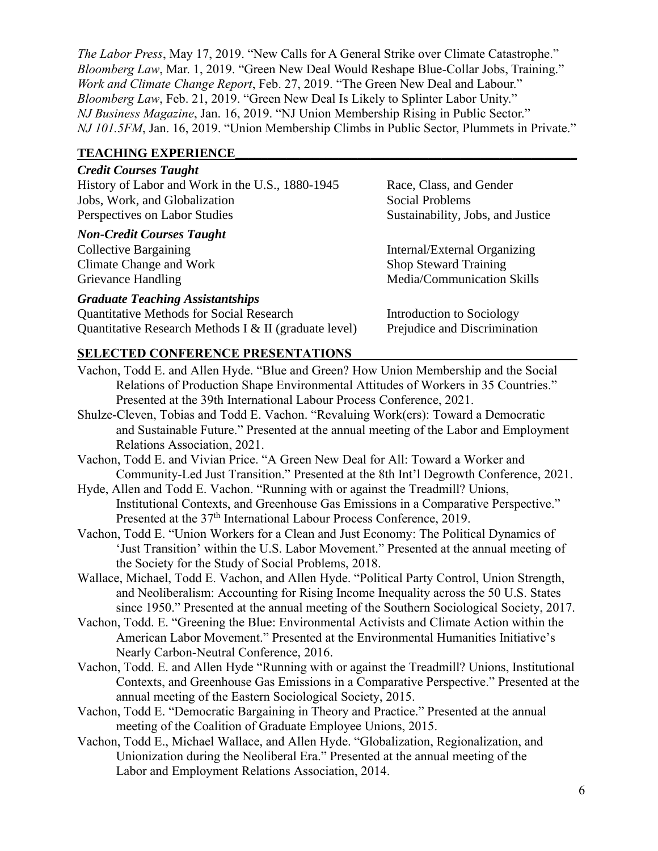*The Labor Press*, May 17, 2019. "New Calls for A General Strike over Climate Catastrophe." *Bloomberg Law*, Mar. 1, 2019. "Green New Deal Would Reshape Blue-Collar Jobs, Training." *Work and Climate Change Report*, Feb. 27, 2019. "The Green New Deal and Labour." *Bloomberg Law*, Feb. 21, 2019. "Green New Deal Is Likely to Splinter Labor Unity." *NJ Business Magazine*, Jan. 16, 2019. "NJ Union Membership Rising in Public Sector." *NJ 101.5FM*, Jan. 16, 2019. "Union Membership Climbs in Public Sector, Plummets in Private."

## **TEACHING EXPERIENCE\_\_\_\_\_\_\_\_\_\_\_\_\_\_\_\_\_\_\_\_\_\_\_\_\_\_\_\_\_\_\_\_\_\_\_\_\_\_\_\_\_\_\_\_\_\_\_\_\_\_\_\_\_**

| <b>Credit Courses Taught</b>                     |
|--------------------------------------------------|
| History of Labor and Work in the U.S., 1880-1945 |
| Jobs, Work, and Globalization                    |
| Perspectives on Labor Studies                    |

#### *Non-Credit Courses Taught*

Climate Change and Work Shop Steward Training

# *Graduate Teaching Assistantships*

Quantitative Methods for Social Research Introduction to Sociology Quantitative Research Methods I & II (graduate level) Prejudice and Discrimination

Race, Class, and Gender Social Problems Sustainability, Jobs, and Justice

Collective Bargaining The Internal/External Organizing Grievance Handling Media/Communication Skills

## **SELECTED CONFERENCE PRESENTATIONS\_\_\_\_\_\_\_\_\_\_\_\_\_\_\_\_\_\_\_\_\_\_\_\_\_\_\_\_\_\_\_\_\_\_\_**

- Vachon, Todd E. and Allen Hyde. "Blue and Green? How Union Membership and the Social Relations of Production Shape Environmental Attitudes of Workers in 35 Countries." Presented at the 39th International Labour Process Conference, 2021.
- Shulze-Cleven, Tobias and Todd E. Vachon. "Revaluing Work(ers): Toward a Democratic and Sustainable Future." Presented at the annual meeting of the Labor and Employment Relations Association, 2021.
- Vachon, Todd E. and Vivian Price. "A Green New Deal for All: Toward a Worker and Community-Led Just Transition." Presented at the 8th Int'l Degrowth Conference, 2021.
- Hyde, Allen and Todd E. Vachon. "Running with or against the Treadmill? Unions, Institutional Contexts, and Greenhouse Gas Emissions in a Comparative Perspective." Presented at the 37<sup>th</sup> International Labour Process Conference, 2019.
- Vachon, Todd E. "Union Workers for a Clean and Just Economy: The Political Dynamics of 'Just Transition' within the U.S. Labor Movement." Presented at the annual meeting of the Society for the Study of Social Problems, 2018.
- Wallace, Michael, Todd E. Vachon, and Allen Hyde. "Political Party Control, Union Strength, and Neoliberalism: Accounting for Rising Income Inequality across the 50 U.S. States since 1950." Presented at the annual meeting of the Southern Sociological Society, 2017.
- Vachon, Todd. E. "Greening the Blue: Environmental Activists and Climate Action within the American Labor Movement." Presented at the Environmental Humanities Initiative's Nearly Carbon-Neutral Conference, 2016.
- Vachon, Todd. E. and Allen Hyde "Running with or against the Treadmill? Unions, Institutional Contexts, and Greenhouse Gas Emissions in a Comparative Perspective." Presented at the annual meeting of the Eastern Sociological Society, 2015.
- Vachon, Todd E. "Democratic Bargaining in Theory and Practice." Presented at the annual meeting of the Coalition of Graduate Employee Unions, 2015.
- Vachon, Todd E., Michael Wallace, and Allen Hyde. "Globalization, Regionalization, and Unionization during the Neoliberal Era." Presented at the annual meeting of the Labor and Employment Relations Association, 2014.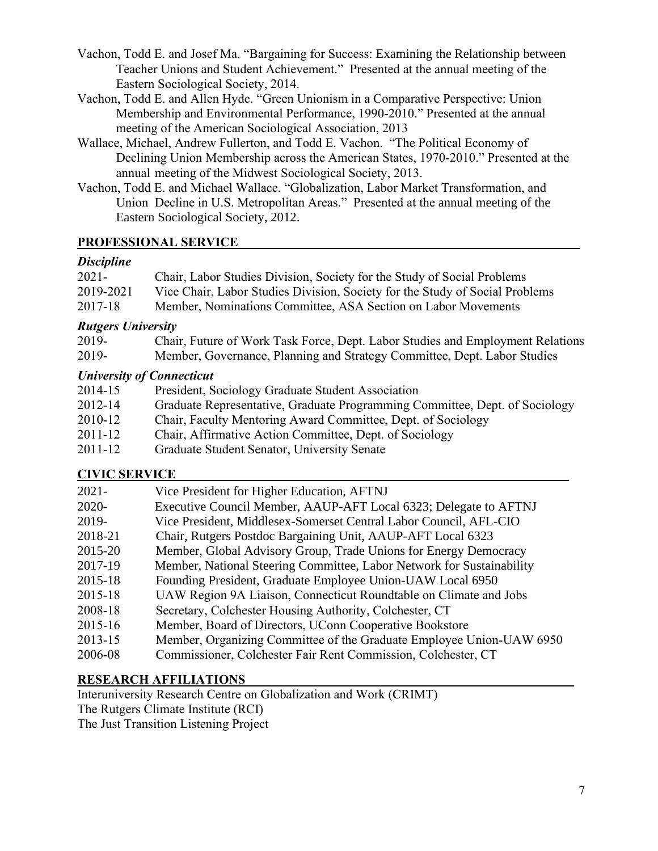- Vachon, Todd E. and Josef Ma. "Bargaining for Success: Examining the Relationship between Teacher Unions and Student Achievement." Presented at the annual meeting of the Eastern Sociological Society, 2014.
- Vachon, Todd E. and Allen Hyde. "Green Unionism in a Comparative Perspective: Union Membership and Environmental Performance, 1990-2010." Presented at the annual meeting of the American Sociological Association, 2013
- Wallace, Michael, Andrew Fullerton, and Todd E. Vachon. "The Political Economy of Declining Union Membership across the American States, 1970-2010." Presented at the annual meeting of the Midwest Sociological Society, 2013.
- Vachon, Todd E. and Michael Wallace. "Globalization, Labor Market Transformation, and Union Decline in U.S. Metropolitan Areas." Presented at the annual meeting of the Eastern Sociological Society, 2012.

# **PROFESSIONAL SERVICE\_\_\_\_\_\_\_\_\_\_\_\_\_\_\_\_\_\_\_\_\_\_\_\_\_\_\_\_\_\_\_\_\_\_\_\_\_\_\_\_\_\_\_\_\_\_\_\_\_\_\_\_\_**

# *Discipline*

| $2021 -$  | Chair, Labor Studies Division, Society for the Study of Social Problems      |
|-----------|------------------------------------------------------------------------------|
| 2019-2021 | Vice Chair, Labor Studies Division, Society for the Study of Social Problems |
| 2017-18   | Member, Nominations Committee, ASA Section on Labor Movements                |

# *Rutgers University*

| 2019- | Chair, Future of Work Task Force, Dept. Labor Studies and Employment Relations |
|-------|--------------------------------------------------------------------------------|
| 2019- | Member, Governance, Planning and Strategy Committee, Dept. Labor Studies       |

# *University of Connecticut*

| 2014-15     | President, Sociology Graduate Student Association                           |
|-------------|-----------------------------------------------------------------------------|
| 2012-14     | Graduate Representative, Graduate Programming Committee, Dept. of Sociology |
| 2010-12     | Chair, Faculty Mentoring Award Committee, Dept. of Sociology                |
| $2011 - 12$ | Chair, Affirmative Action Committee, Dept. of Sociology                     |
| $2011 - 12$ | Graduate Student Senator, University Senate                                 |

# **CIVIC SERVICE\_\_\_\_\_\_\_\_\_\_\_\_\_\_\_\_\_\_\_\_\_\_\_\_\_\_\_\_\_\_\_\_\_\_\_\_\_\_\_\_\_\_\_\_\_\_\_\_\_\_\_\_\_\_\_\_\_\_\_\_\_**

| $2021 -$ | Vice President for Higher Education, AFTNJ                            |
|----------|-----------------------------------------------------------------------|
| $2020 -$ | Executive Council Member, AAUP-AFT Local 6323; Delegate to AFTNJ      |
| 2019-    | Vice President, Middlesex-Somerset Central Labor Council, AFL-CIO     |
| 2018-21  | Chair, Rutgers Postdoc Bargaining Unit, AAUP-AFT Local 6323           |
| 2015-20  | Member, Global Advisory Group, Trade Unions for Energy Democracy      |
| 2017-19  | Member, National Steering Committee, Labor Network for Sustainability |
| 2015-18  | Founding President, Graduate Employee Union-UAW Local 6950            |
| 2015-18  | UAW Region 9A Liaison, Connecticut Roundtable on Climate and Jobs     |
| 2008-18  | Secretary, Colchester Housing Authority, Colchester, CT               |
| 2015-16  | Member, Board of Directors, UConn Cooperative Bookstore               |
| 2013-15  | Member, Organizing Committee of the Graduate Employee Union-UAW 6950  |
| 2006-08  | Commissioner, Colchester Fair Rent Commission, Colchester, CT         |
|          |                                                                       |

# **RESEARCH AFFILIATIONS\_\_\_\_\_\_\_\_\_\_\_\_\_\_\_\_\_\_\_\_\_\_\_\_\_\_\_\_\_\_\_\_\_\_\_\_\_\_\_\_\_\_\_\_\_\_\_\_\_\_\_**

Interuniversity Research Centre on Globalization and Work (CRIMT) The Rutgers Climate Institute (RCI)

The Just Transition Listening Project